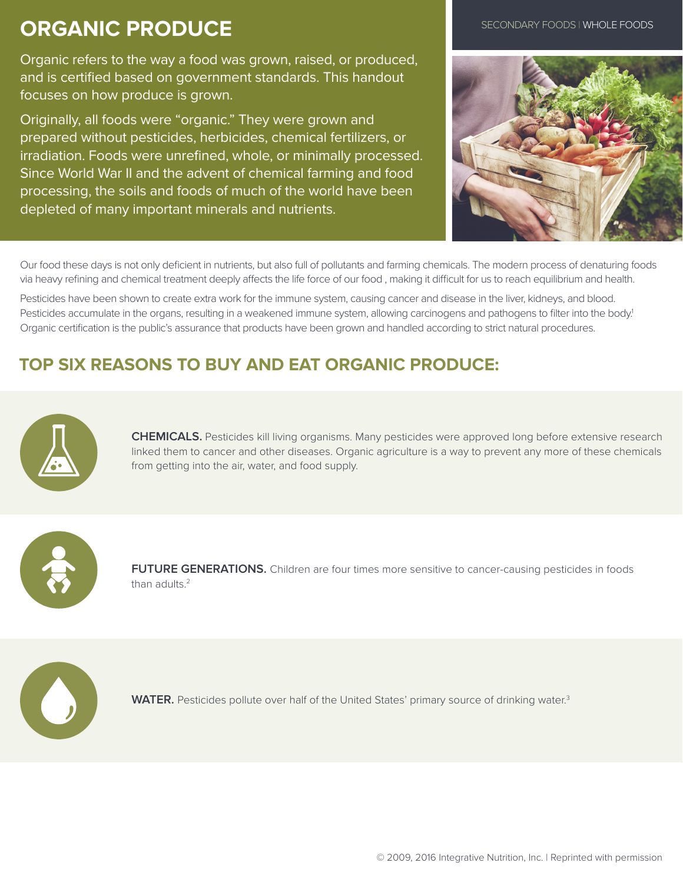## **ORGANIC PRODUCE**

Organic refers to the way a food was grown, raised, or produced, and is certified based on government standards. This handout focuses on how produce is grown.

Originally, all foods were "organic." They were grown and prepared without pesticides, herbicides, chemical fertilizers, or irradiation. Foods were unrefined, whole, or minimally processed. Since World War II and the advent of chemical farming and food processing, the soils and foods of much of the world have been depleted of many important minerals and nutrients.





Our food these days is not only deficient in nutrients, but also full of pollutants and farming chemicals. The modern process of denaturing foods via heavy refining and chemical treatment deeply affects the life force of our food , making it difficult for us to reach equilibrium and health.

Pesticides have been shown to create extra work for the immune system, causing cancer and disease in the liver, kidneys, and blood. Pesticides accumulate in the organs, resulting in a weakened immune system, allowing carcinogens and pathogens to filter into the body.<sup>1</sup> Organic certification is the public's assurance that products have been grown and handled according to strict natural procedures.

## **TOP SIX REASONS TO BUY AND EAT ORGANIC PRODUCE:**



**CHEMICALS.** Pesticides kill living organisms. Many pesticides were approved long before extensive research linked them to cancer and other diseases. Organic agriculture is a way to prevent any more of these chemicals from getting into the air, water, and food supply.



FUTURE GENERATIONS. Children are four times more sensitive to cancer-causing pesticides in foods than adults.<sup>2</sup>



WATER. Pesticides pollute over half of the United States' primary source of drinking water.<sup>3</sup>